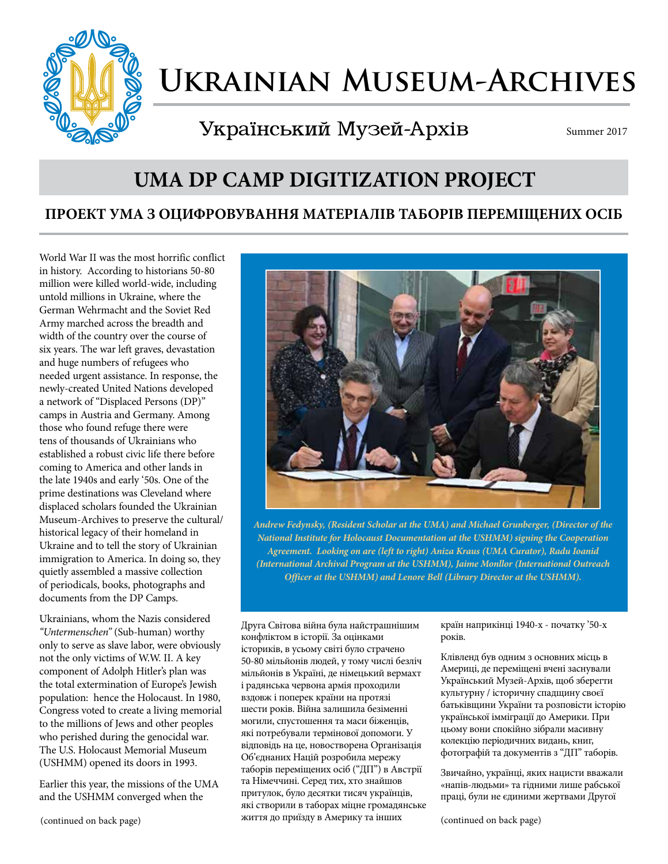

# **Ukrainian Museum-Archives**

Український Музей-Архів

Summer 2017

# **UMA DP CAMP DIGITIZATION PROJECT**

## **ПРОЕКТ УМА З ОЦИФРОВУВАННЯ МАТЕРІАЛІВ ТАБОРІВ ПЕРЕМІЩЕНИХ ОСІБ**

World War II was the most horrific conflict in history. According to historians 50-80 million were killed world-wide, including untold millions in Ukraine, where the German Wehrmacht and the Soviet Red Army marched across the breadth and width of the country over the course of six years. The war left graves, devastation and huge numbers of refugees who needed urgent assistance. In response, the newly-created United Nations developed a network of "Displaced Persons (DP)" camps in Austria and Germany. Among those who found refuge there were tens of thousands of Ukrainians who established a robust civic life there before coming to America and other lands in the late 1940s and early '50s. One of the prime destinations was Cleveland where displaced scholars founded the Ukrainian Museum-Archives to preserve the cultural/ historical legacy of their homeland in Ukraine and to tell the story of Ukrainian immigration to America. In doing so, they quietly assembled a massive collection of periodicals, books, photographs and documents from the DP Camps.

Ukrainians, whom the Nazis considered *"Untermenschen"* (Sub-human) worthy only to serve as slave labor, were obviously not the only victims of W.W. II. A key component of Adolph Hitler's plan was the total extermination of Europe's Jewish population: hence the Holocaust. In 1980, Congress voted to create a living memorial to the millions of Jews and other peoples who perished during the genocidal war. The U.S. Holocaust Memorial Museum (USHMM) opened its doors in 1993.

Earlier this year, the missions of the UMA and the USHMM converged when the



*Andrew Fedynsky, (Resident Scholar at the UMA) and Michael Grunberger, (Director of the National Institute for Holocaust Documentation at the USHMM) signing the Cooperation Agreement. Looking on are (left to right) Aniza Kraus (UMA Curator), Radu Ioanid (International Archival Program at the USHMM), Jaime Monllor (International Outreach Officer at the USHMM) and Lenore Bell (Library Director at the USHMM).*

Друга Світова війна була найстрашнішим конфліктом в історії. За оцінками істориків, в усьому світі було страчено 50-80 мільйонів людей, у тому числі безліч мільйонів в Україні, де німецький вермахт і радянська червона армія проходили вздовж і поперек країни на протязі шести років. Війна залишила безіменні могили, спустошення та маси біженців, які потребували термінової допомоги. У відповідь на це, новостворена Організація Об'єднаних Націй розробила мережу таборів переміщених осіб ("ДП") в Австрії та Німеччині. Серед тих, хто знайшов притулок, було десятки тисяч українців, які створили в таборах міцне громадянське життя до приїзду в Америку та інших

країн наприкінці 1940-х - початку '50-х років.

Клівленд був одним з основних місць в Америці, де переміщені вчені заснували Український Музей-Архів, щоб зберегти культурну / історичну спадщину своєї батьківщини України та розповісти історію української імміграції до Америки. При цьому вони спокійно зібрали масивну колекцію періодичних видань, книг, фотографій та документів з "ДП" таборів.

Звичайно, українці, яких нацисти вважали «напів-людьми» та гідними лише рабської праці, були не єдиними жертвами Другої

(continued on back page)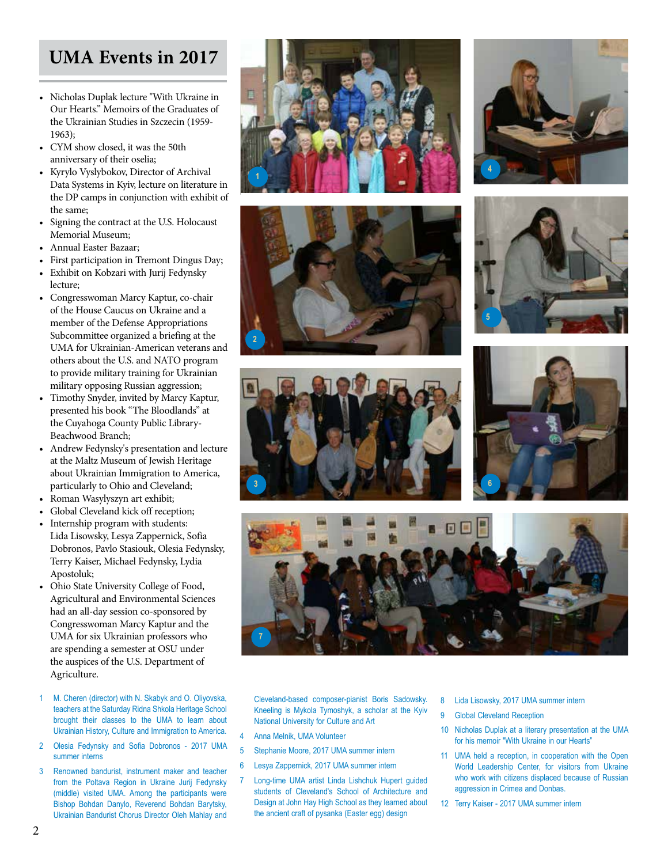# **UMA Events in 2017**

- Nicholas Duplak lecture "With Ukraine in Our Hearts." Memoirs of the Graduates of the Ukrainian Studies in Szczecin (1959- 1963);
- CYM show closed, it was the 50th anniversary of their oselia;
- Kyrylo Vyslybokov, Director of Archival Data Systems in Kyiv, lecture on literature in the DP camps in conjunction with exhibit of the same;
- Signing the contract at the U.S. Holocaust Memorial Museum;
- Annual Easter Bazaar;
- First participation in Tremont Dingus Day;
- Exhibit on Kobzari with Jurij Fedynsky lecture;
- Congresswoman Marcy Kaptur, co-chair of the House Caucus on Ukraine and a member of the Defense Appropriations Subcommittee organized a briefing at the UMA for Ukrainian-American veterans and others about the U.S. and NATO program to provide military training for Ukrainian military opposing Russian aggression;
- Timothy Snyder, invited by Marcy Kaptur, presented his book "The Bloodlands" at the Cuyahoga County Public Library-Beachwood Branch;
- Andrew Fedynsky's presentation and lecture at the Maltz Museum of Jewish Heritage about Ukrainian Immigration to America, particularly to Ohio and Cleveland;
- Roman Wasylyszyn art exhibit;
- Global Cleveland kick off reception;
- Internship program with students: Lida Lisowsky, Lesya Zappernick, Sofia Dobronos, Pavlo Stasiouk, Olesia Fedynsky, Terry Kaiser, Michael Fedynsky, Lydia Apostoluk;
- Ohio State University College of Food, Agricultural and Environmental Sciences had an all-day session co-sponsored by Congresswoman Marcy Kaptur and the UMA for six Ukrainian professors who are spending a semester at OSU under the auspices of the U.S. Department of Agriculture.
- 1 M. Cheren (director) with N. Skabyk and O. Oliyovska, teachers at the Saturday Ridna Shkola Heritage School brought their classes to the UMA to learn about Ukrainian History, Culture and Immigration to America.
- 2 Olesia Fedynsky and Sofia Dobronos 2017 UMA summer interns
- 3 Renowned bandurist, instrument maker and teacher from the Poltava Region in Ukraine Jurij Fedynsky (middle) visited UMA. Among the participants were Bishop Bohdan Danylo, Reverend Bohdan Barytsky, Ukrainian Bandurist Chorus Director Oleh Mahlay and















Cleveland-based composer-pianist Boris Sadowsky. Kneeling is Mykola Tymoshyk, a scholar at the Kyiv National University for Culture and Art

- 4 Anna Melnik, UMA Volunteer
- 5 Stephanie Moore, 2017 UMA summer intern
- 6 Lesya Zappernick, 2017 UMA summer intern
- 7 Long-time UMA artist Linda Lishchuk Hupert guided students of Cleveland's School of Architecture and Design at John Hay High School as they learned about the ancient craft of pysanka (Easter egg) design
- 8 Lida Lisowsky, 2017 UMA summer intern
- 9 Global Cleveland Reception
- 10 Nicholas Duplak at a literary presentation at the UMA for his memoir "With Ukraine in our Hearts"
- 11 UMA held a reception, in cooperation with the Open World Leadership Center, for visitors from Ukraine who work with citizens displaced because of Russian aggression in Crimea and Donbas.
- 12 Terry Kaiser 2017 UMA summer intern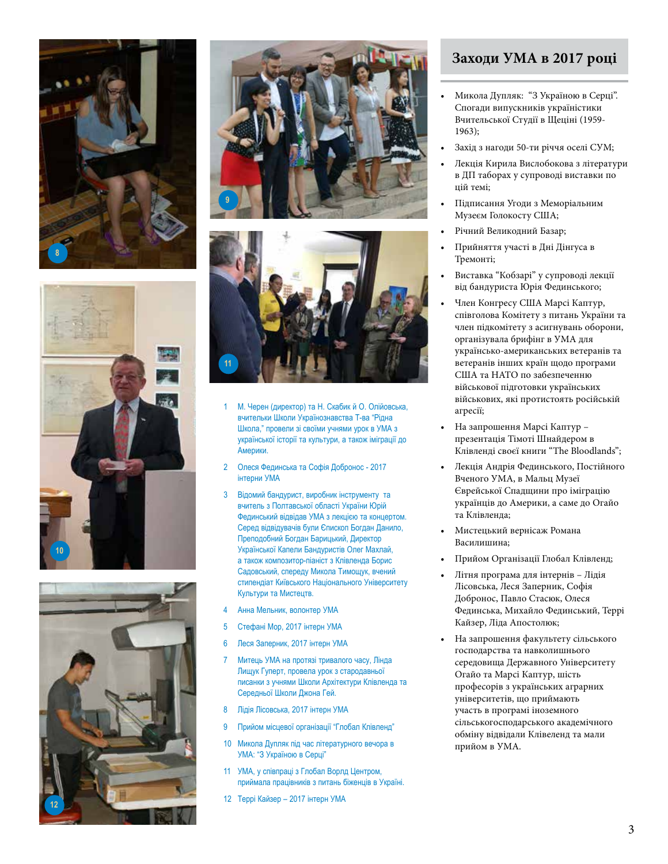









- 1 М. Черен (директор) та Н. Скабик й О. Олійовська, вчительки Школи Українознавства Т-ва "Рідна Школа," провели зі своїми учнями урок в УМА з української історії та культури, а також іміграції до Америки.
- 2 Олеся Фединська та Софія Добронос 2017 інтерни УМА
- 3 Відомий бандурист, виробник інструменту та вчитель з Полтавської області України Юрій Фединський відвідав УМА з лекцією та концертом. Серед відвідувачів були Єпископ Богдан Данило, Преподобний Богдан Барицький, Директор Української Капели Бандуристів Олег Махлай, а також композитор-піаніст з Клівленда Борис Садовський, спереду Микола Тимощук, вчений стипендіат Київського Національного Університету Культури та Мистецтв.
- 4 Анна Мельник, волонтер УМА
- 5 Стефані Мор, 2017 інтерн УМА
- 6 Леся Заперник, 2017 інтерн УМА
- 7 Митець УМА на протязі тривалого часу, Лінда Лищук Гуперт, провела урок з стародавньої писанки з учнями Школи Архітектури Клівленда та Середньої Школи Джона Гей.
- 8 Лідія Лісовська, 2017 інтерн УМА
- 9 Прийом місцевої організації "Глобал Клівленд"
- 10 Микола Дупляк під час літературного вечора в УМА: "З Україною в Серці"
- 11 УМА, у співпраці з Глобал Ворлд Центром, приймала працівників з питань біженців в Україні.
- 12 Террі Кайзер 2017 інтерн УМА

#### **Заходи УМА в 2017 році**

- Mикола Дупляк: "З Україною в Серці". Спогади випускників україністики Вчительської Студії в Щеціні (1959- 1963);
- Захід з нагоди 50-ти річчя оселі СУМ;
- Лекція Кирила Вислобокова з літератури в ДП таборах у супроводі виставки по цій темі;
- Підписання Угоди з Меморіальним Музеєм Голокосту США;
- Річний Великодний Базар;
- Прийняття участі в Дні Дінгуса в Тремонті;
- Виставка "Кобзарі" у супроводі лекції від бандуриста Юрія Фединського;
- Член Конгресу США Марсі Каптур, співголова Комітету з питань України та член підкомітету з асигнувань оборони, організувала брифінг в УМА для українсько-американських ветеранів та ветеранів інших країн щодо програми США та НАТО по забезпеченню військової підготовки українських військових, які протистоять російській агресії;
- На запрошення Марсі Каптур презентація Тімоті Шнайдером в Клівленді своєї книги "The Bloodlands";
- Лекція Андрія Фединського, Постійного Вченого УМА, в Мальц Музеї Єврейської Спадщини про іміграцію українців до Америки, а саме до Огайо та Клівленда;
- Мистецький вернісаж Романа Василишина;
- Прийом Організації Глобал Клівленд;
- Літня програма для інтернів Лідія Лісовська, Леся Заперник, Софія Добронос, Павло Стасюк, Олеся Фединська, Михайло Фединський, Террі Кайзер, Ліда Апостолюк;
- На запрошення факультету сільського господарства та навколишнього середовища Державного Університету Огайо та Марсі Каптур, шість професорів з українських аграрних університетів, що приймають участь в програмі іноземного сільськогосподарського академічного обміну відвідали Клівеленд та мали прийом в УМА.